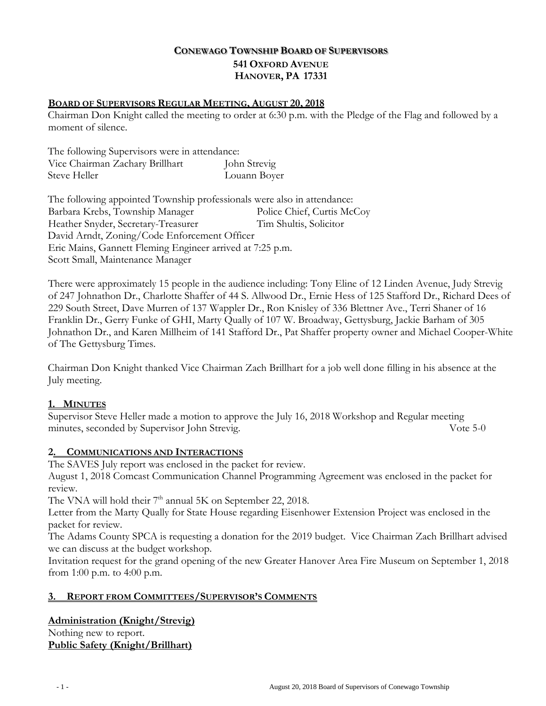# **CONEWAGO TOWNSHIP BOARD OF SUPERVISORS 541 OXFORD AVENUE HANOVER, PA 17331**

### **BOARD OF SUPERVISORS REGULAR MEETING, AUGUST 20, 2018**

Chairman Don Knight called the meeting to order at 6:30 p.m. with the Pledge of the Flag and followed by a moment of silence.

The following Supervisors were in attendance: Vice Chairman Zachary Brillhart John Strevig Steve Heller Louann Boyer

The following appointed Township professionals were also in attendance: Barbara Krebs, Township Manager Police Chief, Curtis McCoy Heather Snyder, Secretary-Treasurer Tim Shultis, Solicitor David Arndt, Zoning/Code Enforcement Officer Eric Mains, Gannett Fleming Engineer arrived at 7:25 p.m. Scott Small, Maintenance Manager

There were approximately 15 people in the audience including: Tony Eline of 12 Linden Avenue, Judy Strevig of 247 Johnathon Dr., Charlotte Shaffer of 44 S. Allwood Dr., Ernie Hess of 125 Stafford Dr., Richard Dees of 229 South Street, Dave Murren of 137 Wappler Dr., Ron Knisley of 336 Blettner Ave., Terri Shaner of 16 Franklin Dr., Gerry Funke of GHI, Marty Qually of 107 W. Broadway, Gettysburg, Jackie Barham of 305 Johnathon Dr., and Karen Millheim of 141 Stafford Dr., Pat Shaffer property owner and Michael Cooper-White of The Gettysburg Times.

Chairman Don Knight thanked Vice Chairman Zach Brillhart for a job well done filling in his absence at the July meeting.

#### **1. MINUTES**

Supervisor Steve Heller made a motion to approve the July 16, 2018 Workshop and Regular meeting minutes, seconded by Supervisor John Strevig. Vote 5-0

#### **2. COMMUNICATIONS AND INTERACTIONS**

The SAVES July report was enclosed in the packet for review. August 1, 2018 Comcast Communication Channel Programming Agreement was enclosed in the packet for review.

The VNA will hold their  $7<sup>th</sup>$  annual 5K on September 22, 2018.

Letter from the Marty Qually for State House regarding Eisenhower Extension Project was enclosed in the packet for review.

The Adams County SPCA is requesting a donation for the 2019 budget. Vice Chairman Zach Brillhart advised we can discuss at the budget workshop.

Invitation request for the grand opening of the new Greater Hanover Area Fire Museum on September 1, 2018 from 1:00 p.m. to 4:00 p.m.

#### **3. REPORT FROM COMMITTEES/SUPERVISOR'S COMMENTS**

#### **Administration (Knight/Strevig)**

Nothing new to report. **Public Safety (Knight/Brillhart)**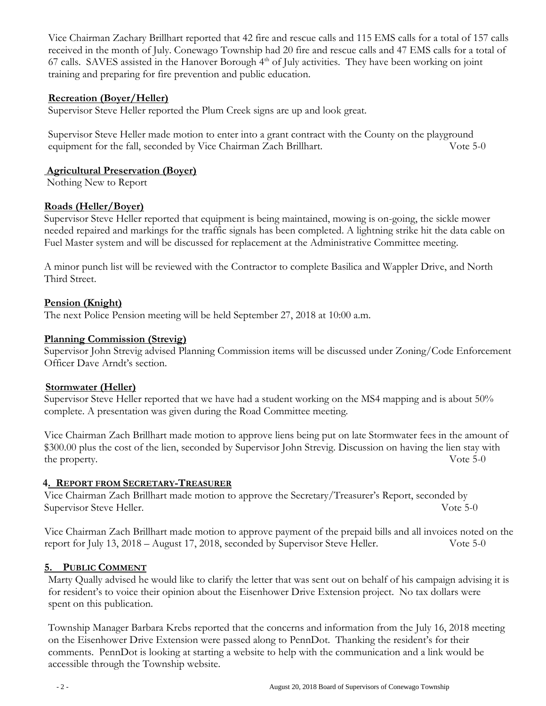Vice Chairman Zachary Brillhart reported that 42 fire and rescue calls and 115 EMS calls for a total of 157 calls received in the month of July. Conewago Township had 20 fire and rescue calls and 47 EMS calls for a total of 67 calls. SAVES assisted in the Hanover Borough  $4<sup>th</sup>$  of July activities. They have been working on joint training and preparing for fire prevention and public education.

### **Recreation (Boyer/Heller)**

Supervisor Steve Heller reported the Plum Creek signs are up and look great.

Supervisor Steve Heller made motion to enter into a grant contract with the County on the playground equipment for the fall, seconded by Vice Chairman Zach Brillhart. Vote 5-0

### **Agricultural Preservation (Boyer)**

Nothing New to Report

### **Roads (Heller/Boyer)**

Supervisor Steve Heller reported that equipment is being maintained, mowing is on-going, the sickle mower needed repaired and markings for the traffic signals has been completed. A lightning strike hit the data cable on Fuel Master system and will be discussed for replacement at the Administrative Committee meeting.

A minor punch list will be reviewed with the Contractor to complete Basilica and Wappler Drive, and North Third Street.

### **Pension (Knight)**

The next Police Pension meeting will be held September 27, 2018 at 10:00 a.m.

### **Planning Commission (Strevig)**

Supervisor John Strevig advised Planning Commission items will be discussed under Zoning/Code Enforcement Officer Dave Arndt's section.

## **Stormwater (Heller)**

Supervisor Steve Heller reported that we have had a student working on the MS4 mapping and is about 50% complete. A presentation was given during the Road Committee meeting.

Vice Chairman Zach Brillhart made motion to approve liens being put on late Stormwater fees in the amount of \$300.00 plus the cost of the lien, seconded by Supervisor John Strevig. Discussion on having the lien stay with the property. Vote 5-0

## **4. REPORT FROM SECRETARY-TREASURER**

Vice Chairman Zach Brillhart made motion to approve the Secretary/Treasurer's Report, seconded by Supervisor Steve Heller. Vote 5-0

Vice Chairman Zach Brillhart made motion to approve payment of the prepaid bills and all invoices noted on the report for July 13, 2018 – August 17, 2018, seconded by Supervisor Steve Heller. Vote 5-0

## **5. PUBLIC COMMENT**

Marty Qually advised he would like to clarify the letter that was sent out on behalf of his campaign advising it is for resident's to voice their opinion about the Eisenhower Drive Extension project. No tax dollars were spent on this publication.

Township Manager Barbara Krebs reported that the concerns and information from the July 16, 2018 meeting on the Eisenhower Drive Extension were passed along to PennDot. Thanking the resident's for their comments. PennDot is looking at starting a website to help with the communication and a link would be accessible through the Township website.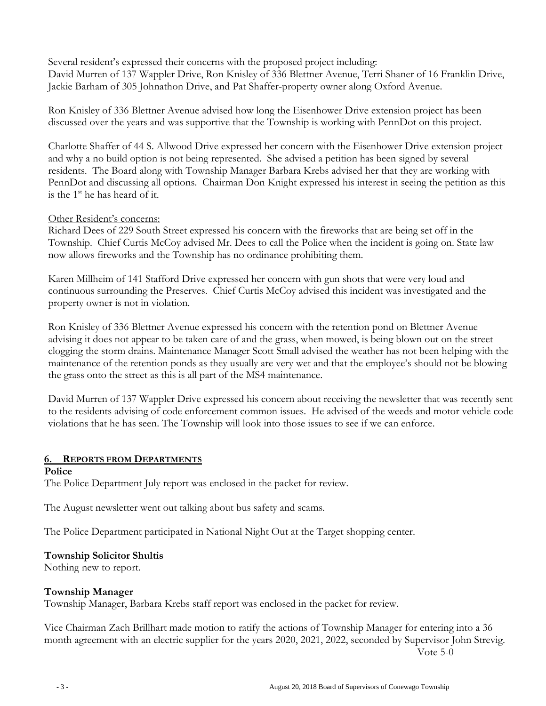Several resident's expressed their concerns with the proposed project including: David Murren of 137 Wappler Drive, Ron Knisley of 336 Blettner Avenue, Terri Shaner of 16 Franklin Drive, Jackie Barham of 305 Johnathon Drive, and Pat Shaffer-property owner along Oxford Avenue.

 Ron Knisley of 336 Blettner Avenue advised how long the Eisenhower Drive extension project has been discussed over the years and was supportive that the Township is working with PennDot on this project.

 Charlotte Shaffer of 44 S. Allwood Drive expressed her concern with the Eisenhower Drive extension project and why a no build option is not being represented. She advised a petition has been signed by several residents. The Board along with Township Manager Barbara Krebs advised her that they are working with PennDot and discussing all options. Chairman Don Knight expressed his interest in seeing the petition as this is the 1<sup>st</sup> he has heard of it.

### Other Resident's concerns:

Richard Dees of 229 South Street expressed his concern with the fireworks that are being set off in the Township. Chief Curtis McCoy advised Mr. Dees to call the Police when the incident is going on. State law now allows fireworks and the Township has no ordinance prohibiting them.

Karen Millheim of 141 Stafford Drive expressed her concern with gun shots that were very loud and continuous surrounding the Preserves. Chief Curtis McCoy advised this incident was investigated and the property owner is not in violation.

Ron Knisley of 336 Blettner Avenue expressed his concern with the retention pond on Blettner Avenue advising it does not appear to be taken care of and the grass, when mowed, is being blown out on the street clogging the storm drains. Maintenance Manager Scott Small advised the weather has not been helping with the maintenance of the retention ponds as they usually are very wet and that the employee's should not be blowing the grass onto the street as this is all part of the MS4 maintenance.

David Murren of 137 Wappler Drive expressed his concern about receiving the newsletter that was recently sent to the residents advising of code enforcement common issues. He advised of the weeds and motor vehicle code violations that he has seen. The Township will look into those issues to see if we can enforce.

## **6. REPORTS FROM DEPARTMENTS**

#### **Police**

The Police Department July report was enclosed in the packet for review.

The August newsletter went out talking about bus safety and scams.

The Police Department participated in National Night Out at the Target shopping center.

#### **Township Solicitor Shultis**

Nothing new to report.

#### **Township Manager**

Township Manager, Barbara Krebs staff report was enclosed in the packet for review.

Vice Chairman Zach Brillhart made motion to ratify the actions of Township Manager for entering into a 36 month agreement with an electric supplier for the years 2020, 2021, 2022, seconded by Supervisor John Strevig. Vote 5-0